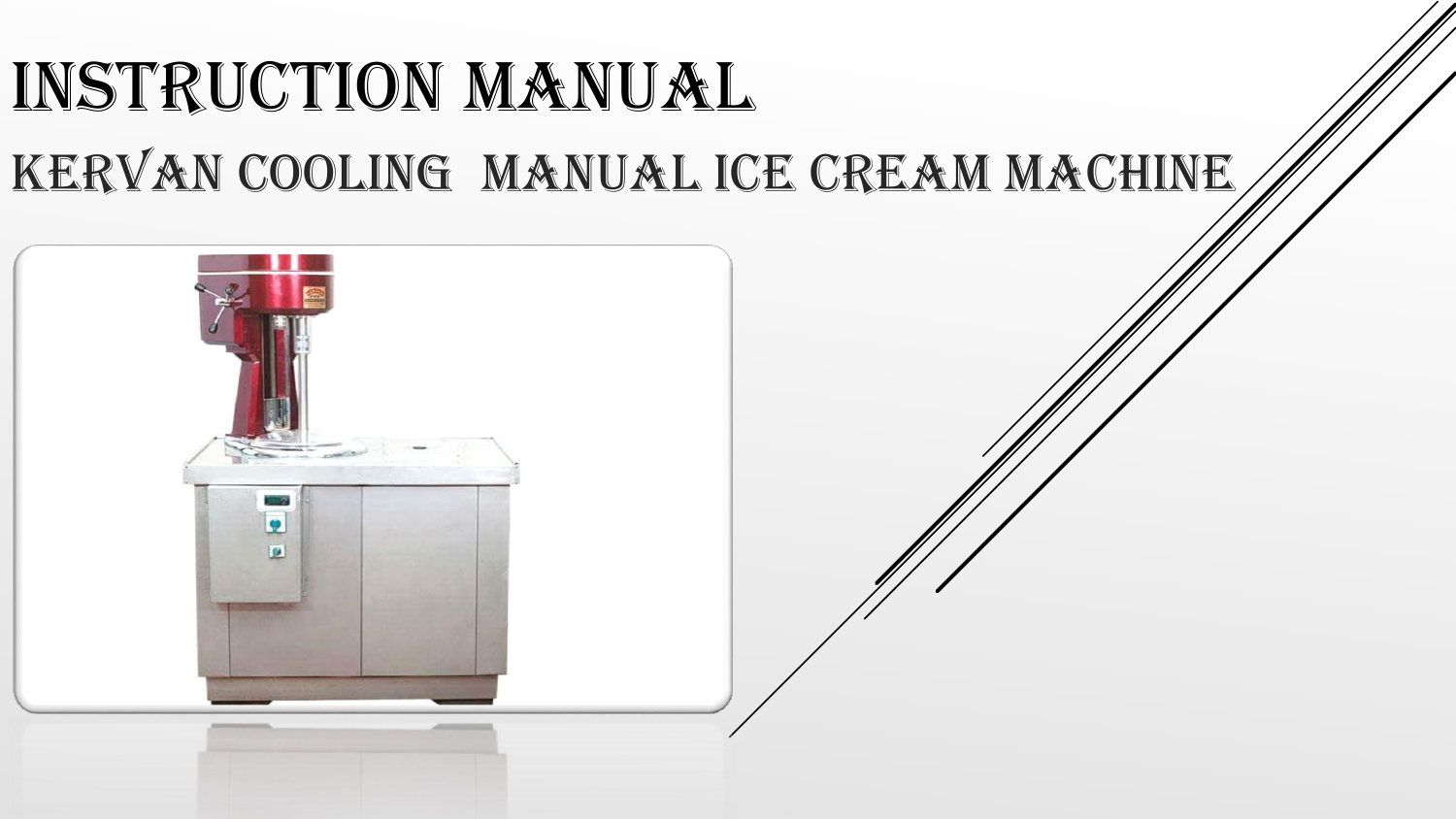# INSTRUCTION MANUAL KERVAN COOLING MANUAL ICE CREAM MACHINE

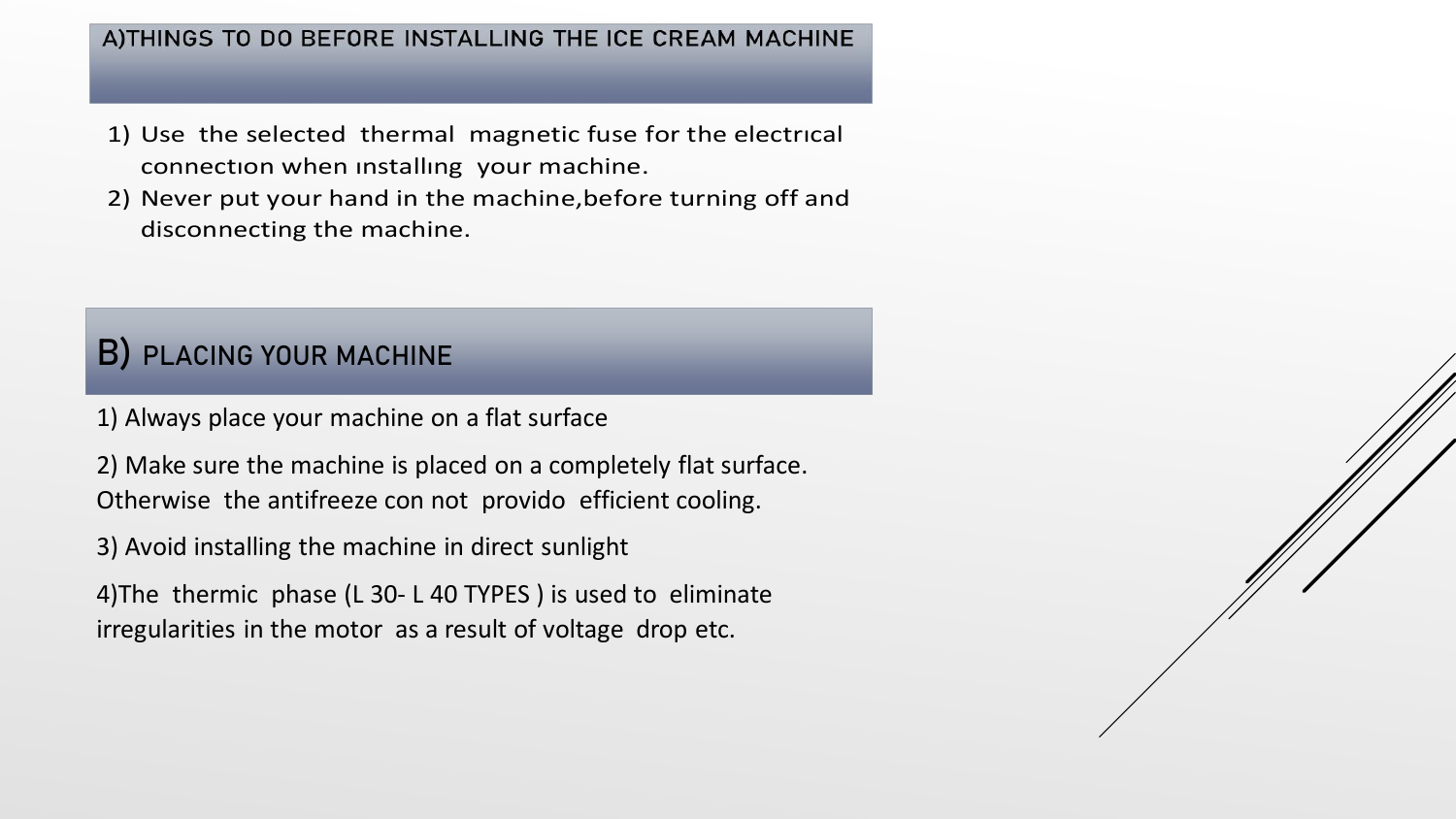#### A)THINGS TO DO BEFORE INSTALLING THE ICE CREAM MACHINE

- 1) Use the selected thermal magnetic fuse for the electrıcal connectıon when ınstallıng your machine.
- 2) Never put your hand in the machine,before turning off and disconnecting the machine.

### B) PLACING YOUR MACHINE

1) Always place your machine on a flat surface

2) Make sure the machine is placed on a completely flat surface. Otherwise the antifreeze con not provido efficient cooling.

3) Avoid installing the machine in direct sunlight

4)The thermic phase (L 30- L 40 TYPES ) is used to eliminate irregularities in the motor as a result of voltage drop etc.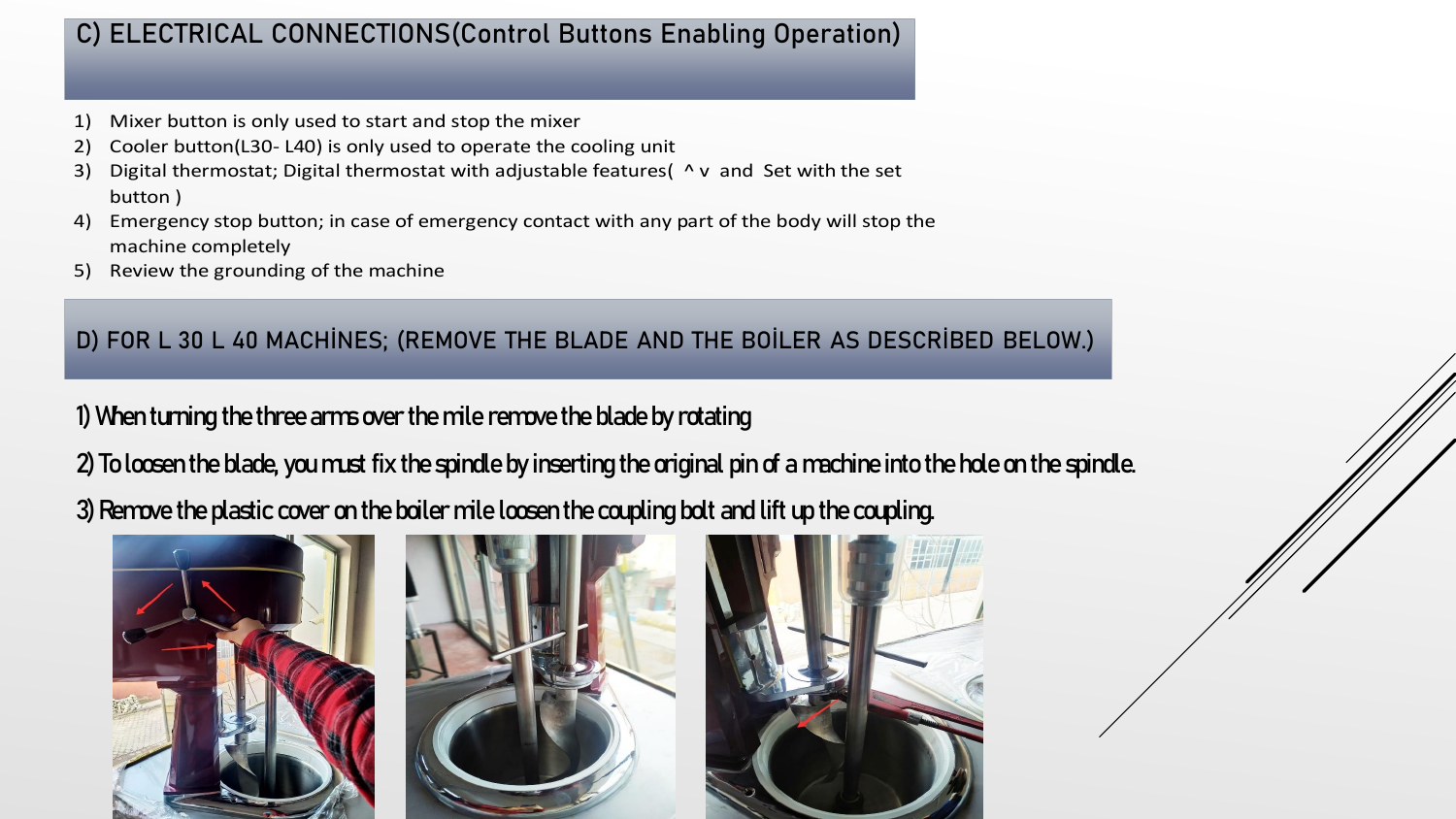#### C) ELECTRICAL CONNECTIONS(Control Buttons Enabling Operation)

- 1) Mixer button is only used to start and stop the mixer
- 2) Cooler button(L30- L40) is only used to operate the cooling unit
- 3) Digital thermostat; Digital thermostat with adjustable features(  $\wedge$  v and Set with the set button )
- 4) Emergency stop button; in case of emergency contact with any part of the body will stop the machine completely
- 5) Review the grounding of the machine

D) FOR L 30 L 40 MACHİNES; (REMOVE THE BLADE AND THE BOİLER AS DESCRİBED BELOW.)

#### 1) When turning the three arms over the mile remove the blade by rotating

2) To loosen the blade, you must fix the spindle by inserting the original pin of a machine into the hole on the spindle.

3) Remove the plastic cover on the boiler mile loosen thecoupling bolt and lift up thecoupling.





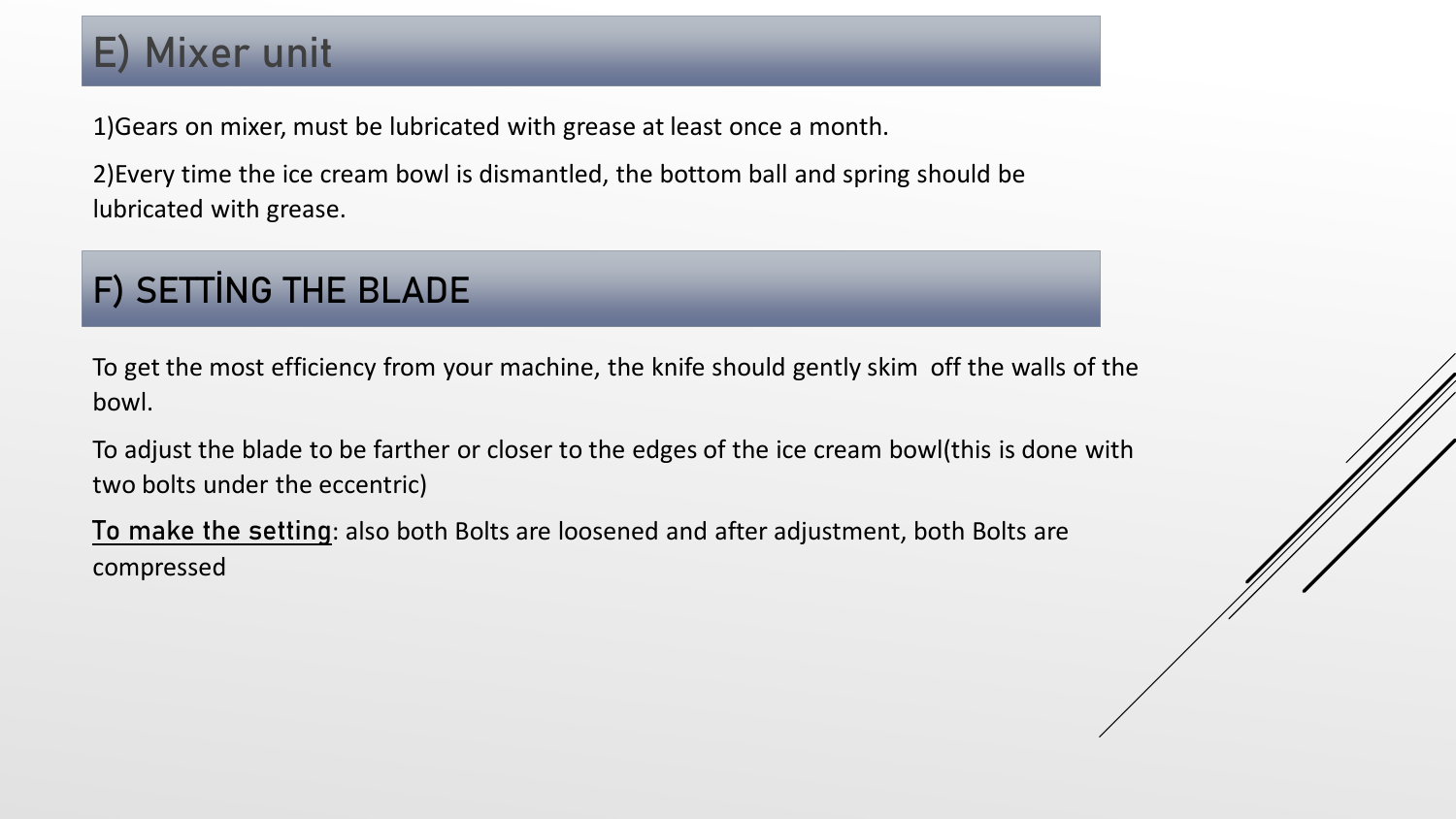## E) Mixer unit

1)Gears on mixer, must be lubricated with grease at least once a month.

2)Every time the ice cream bowl is dismantled, the bottom ball and spring should be lubricated with grease.

### F) SETTİNG THE BLADE

To get the most efficiency from your machine, the knife should gently skim off the walls of the bowl.

To adjust the blade to be farther or closer to the edges of the ice cream bowl(this is done with two bolts under the eccentric)

To make the setting: also both Bolts are loosened and after adjustment, both Bolts are compressed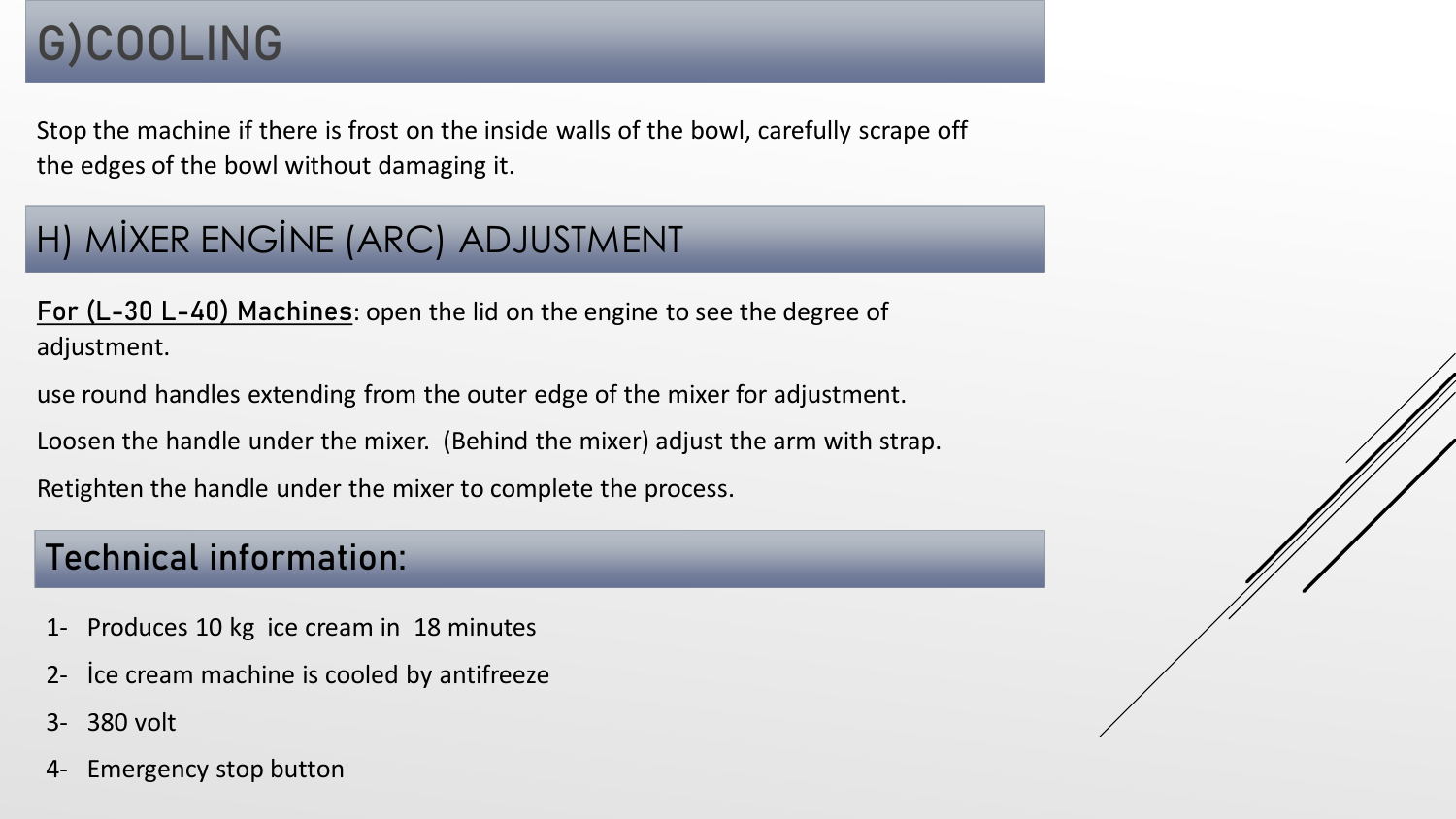# G)COOLING

Stop the machine if there is frost on the inside walls of the bowl, carefully scrape off the edges of the bowl without damaging it.

### H) MİXER ENGİNE (ARC) ADJUSTMENT

For (L-30 L-40) Machines: open the lid on the engine to see the degree of adjustment.

use round handles extending from the outer edge of the mixer for adjustment.

Loosen the handle under the mixer. (Behind the mixer) adjust the arm with strap.

Retighten the handle under the mixer to complete the process.

### Technical information:

- 1- Produces 10 kg ice cream in 18 minutes
- Ice cream machine is cooled by antifreeze
- 3- 380 volt
- 4- Emergency stop button